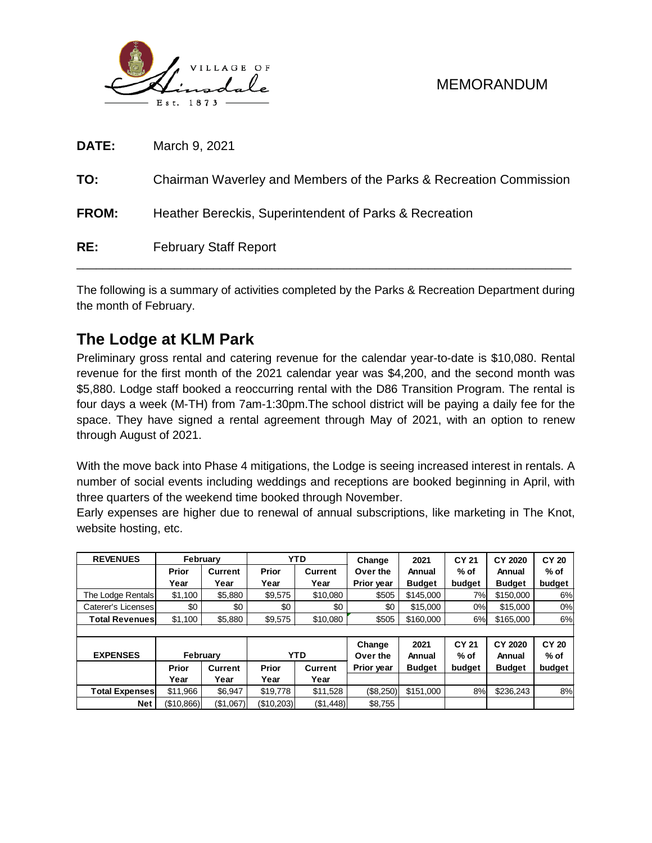

| RE:          | <b>February Staff Report</b>                                       |
|--------------|--------------------------------------------------------------------|
| <b>FROM:</b> | Heather Bereckis, Superintendent of Parks & Recreation             |
| TO:          | Chairman Waverley and Members of the Parks & Recreation Commission |
| <b>DATE:</b> | March 9, 2021                                                      |

The following is a summary of activities completed by the Parks & Recreation Department during the month of February.

# **The Lodge at KLM Park**

Preliminary gross rental and catering revenue for the calendar year-to-date is \$10,080. Rental revenue for the first month of the 2021 calendar year was \$4,200, and the second month was \$5,880. Lodge staff booked a reoccurring rental with the D86 Transition Program. The rental is four days a week (M-TH) from 7am-1:30pm.The school district will be paying a daily fee for the space. They have signed a rental agreement through May of 2021, with an option to renew through August of 2021.

With the move back into Phase 4 mitigations, the Lodge is seeing increased interest in rentals. A number of social events including weddings and receptions are booked beginning in April, with three quarters of the weekend time booked through November.

Early expenses are higher due to renewal of annual subscriptions, like marketing in The Knot, website hosting, etc.

| <b>REVENUES</b>       |            | February       |            | <b>YTD</b>     | Change     | 2021          | <b>CY 21</b>    | CY 2020       | <b>CY 20</b><br>$%$ of |
|-----------------------|------------|----------------|------------|----------------|------------|---------------|-----------------|---------------|------------------------|
|                       | Prior      | <b>Current</b> | Prior      | <b>Current</b> | Over the   | Annual        | % of            | Annual        |                        |
|                       | Year       | Year           | Year       | Year           | Prior year | <b>Budget</b> | budget          | <b>Budget</b> | budget                 |
| The Lodge Rentals     | \$1,100    | \$5,880        | \$9,575    | \$10,080       | \$505      | \$145,000     | 7%<br>\$150,000 |               | 6%                     |
| Caterer's Licenses    | \$0        | \$0            | \$0        | \$0            | \$0        | \$15,000      | 0%              | \$15,000      | 0%                     |
| <b>Total Revenues</b> | \$1,100    | \$5,880        | \$9,575    | \$10,080       | \$505      | \$160,000     | 6%              | \$165,000     | 6%                     |
|                       |            |                |            |                |            |               |                 |               |                        |
|                       |            |                |            | Change         | 2021       | <b>CY 21</b>  | <b>CY 2020</b>  | <b>CY 20</b>  |                        |
| <b>EXPENSES</b>       |            | February       |            | <b>YTD</b>     | Over the   | Annual        | $%$ of          | Annual        | $%$ of                 |
|                       | Prior      | Current        | Prior      | Current        | Prior year | <b>Budget</b> | budget          | <b>Budget</b> | budget                 |
|                       | Year       | Year           | Year       | Year           |            |               |                 |               |                        |
| <b>Total Expenses</b> | \$11,966   | \$6,947        | \$19,778   | \$11,528       | (\$8,250)  | \$151,000     | 8%              | \$236,243     | 8%                     |
| <b>Net</b>            | (\$10,866) | (\$1,067)      | (\$10,203) | (\$1,448)      | \$8,755    |               |                 |               |                        |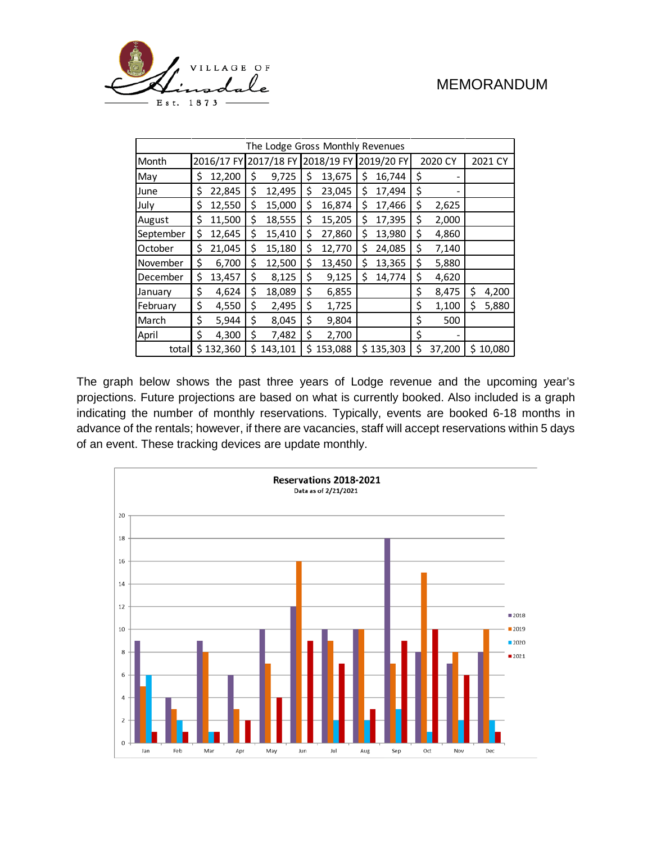

| The Lodge Gross Monthly Revenues |    |           |                       |         |            |         |            |           |         |        |         |          |
|----------------------------------|----|-----------|-----------------------|---------|------------|---------|------------|-----------|---------|--------|---------|----------|
| Month                            |    |           | 2016/17 FY 2017/18 FY |         | 2018/19 FY |         | 2019/20 FY |           | 2020 CY |        | 2021 CY |          |
| May                              | \$ | 12,200    | \$                    | 9,725   | \$         | 13,675  | \$         | 16,744    | \$      |        |         |          |
| June                             | \$ | 22,845    | \$                    | 12,495  | \$         | 23,045  | \$         | 17,494    | \$      |        |         |          |
| July                             | \$ | 12,550    | \$                    | 15,000  | \$         | 16,874  | Ś          | 17,466    | \$      | 2,625  |         |          |
| August                           | \$ | 11,500    | \$                    | 18,555  | \$         | 15,205  | \$         | 17,395    | \$      | 2,000  |         |          |
| September                        | \$ | 12,645    | \$                    | 15,410  | \$         | 27,860  | \$         | 13,980    | \$      | 4,860  |         |          |
| October                          | \$ | 21,045    | \$                    | 15,180  | \$         | 12,770  | \$         | 24,085    | \$      | 7,140  |         |          |
| November                         | \$ | 6,700     | \$                    | 12,500  | \$         | 13,450  | \$         | 13,365    | \$      | 5,880  |         |          |
| December                         | \$ | 13,457    | \$                    | 8,125   | \$         | 9,125   | Ś          | 14,774    | \$      | 4,620  |         |          |
| January                          | \$ | 4,624     | \$                    | 18,089  | \$         | 6,855   |            |           | \$      | 8,475  | \$      | 4,200    |
| February                         | \$ | 4,550     | \$                    | 2,495   | \$         | 1,725   |            |           | \$      | 1,100  | \$      | 5,880    |
| March                            | \$ | 5,944     | \$                    | 8,045   | \$         | 9,804   |            |           | \$      | 500    |         |          |
| April                            | \$ | 4,300     | \$                    | 7,482   | \$         | 2,700   |            |           | \$      |        |         |          |
| total                            |    | \$132,360 | Ś                     | 143,101 | Ś          | 153,088 |            | \$135,303 | \$      | 37,200 |         | \$10,080 |

The graph below shows the past three years of Lodge revenue and the upcoming year's projections. Future projections are based on what is currently booked. Also included is a graph indicating the number of monthly reservations. Typically, events are booked 6-18 months in advance of the rentals; however, if there are vacancies, staff will accept reservations within 5 days of an event. These tracking devices are update monthly.

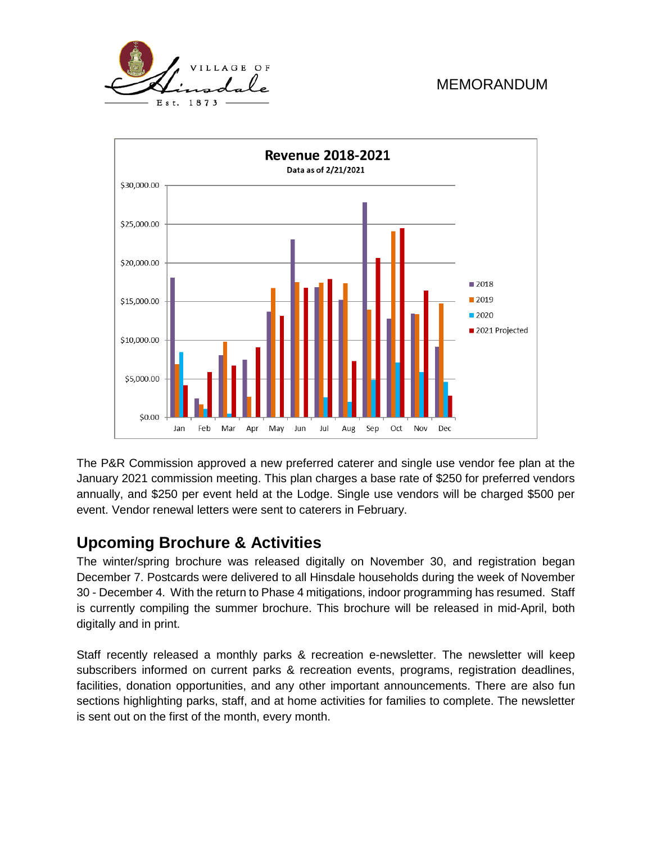



The P&R Commission approved a new preferred caterer and single use vendor fee plan at the January 2021 commission meeting. This plan charges a base rate of \$250 for preferred vendors annually, and \$250 per event held at the Lodge. Single use vendors will be charged \$500 per event. Vendor renewal letters were sent to caterers in February.

## **Upcoming Brochure & Activities**

The winter/spring brochure was released digitally on November 30, and registration began December 7. Postcards were delivered to all Hinsdale households during the week of November 30 - December 4. With the return to Phase 4 mitigations, indoor programming has resumed. Staff is currently compiling the summer brochure. This brochure will be released in mid-April, both digitally and in print.

Staff recently released a monthly parks & recreation e-newsletter. The newsletter will keep subscribers informed on current parks & recreation events, programs, registration deadlines, facilities, donation opportunities, and any other important announcements. There are also fun sections highlighting parks, staff, and at home activities for families to complete. The newsletter is sent out on the first of the month, every month.